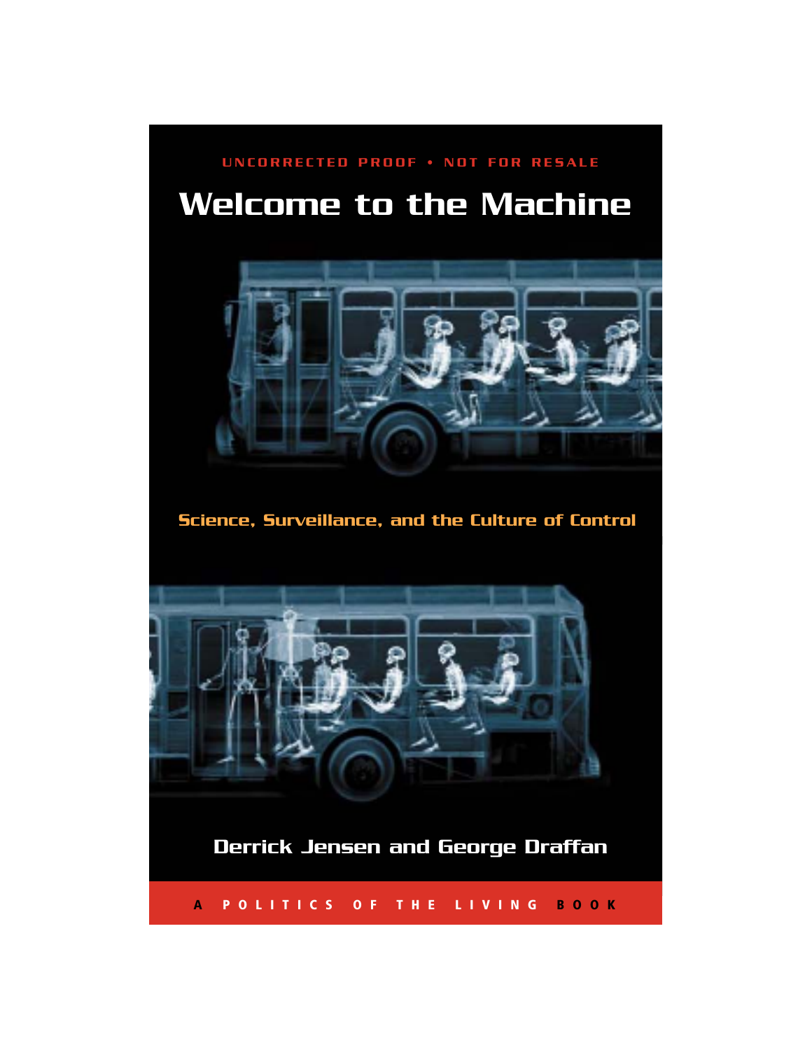## **Welcome to the Machine UNCORRECTED PROOF • NOT FOR RESALE**



**Science, Surveillance, and the Culture of Control**



**Derrick Jensen and George Draffan**

**A POLITICS OF THE LIVING BOOK**